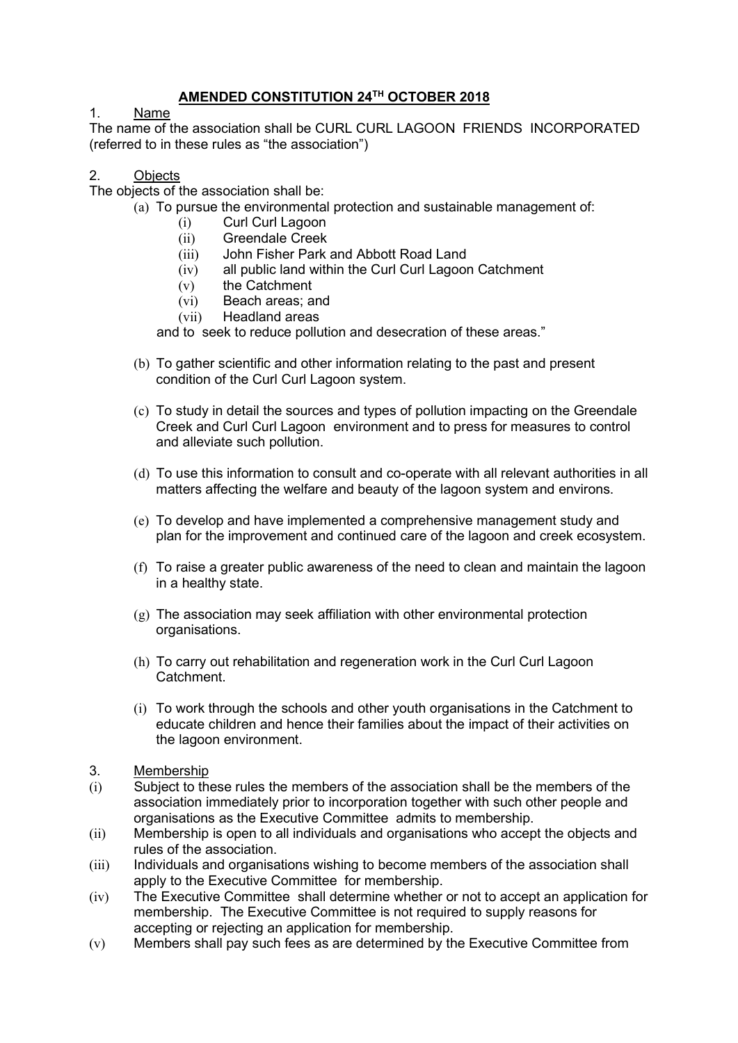# AMENDED CONSTITUTION 24TH OCTOBER 2018

### 1. Name

The name of the association shall be CURL CURL LAGOON FRIENDS INCORPORATED (referred to in these rules as "the association")

#### 2. Objects

The objects of the association shall be:

- (a) To pursue the environmental protection and sustainable management of:
	- (i) Curl Curl Lagoon
	- (ii) Greendale Creek
	- (iii) John Fisher Park and Abbott Road Land
	- (iv) all public land within the Curl Curl Lagoon Catchment
	- (v) the Catchment
	- (vi) Beach areas; and
	- (vii) Headland areas

and to seek to reduce pollution and desecration of these areas."

- (b) To gather scientific and other information relating to the past and present condition of the Curl Curl Lagoon system.
- (c) To study in detail the sources and types of pollution impacting on the Greendale Creek and Curl Curl Lagoon environment and to press for measures to control and alleviate such pollution.
- (d) To use this information to consult and co-operate with all relevant authorities in all matters affecting the welfare and beauty of the lagoon system and environs.
- (e) To develop and have implemented a comprehensive management study and plan for the improvement and continued care of the lagoon and creek ecosystem.
- (f) To raise a greater public awareness of the need to clean and maintain the lagoon in a healthy state.
- $(g)$  The association may seek affiliation with other environmental protection organisations.
- (h) To carry out rehabilitation and regeneration work in the Curl Curl Lagoon Catchment.
- (i) To work through the schools and other youth organisations in the Catchment to educate children and hence their families about the impact of their activities on the lagoon environment.
- 3. Membership
- (i) Subject to these rules the members of the association shall be the members of the association immediately prior to incorporation together with such other people and organisations as the Executive Committee admits to membership.
- (ii) Membership is open to all individuals and organisations who accept the objects and rules of the association.
- (iii) Individuals and organisations wishing to become members of the association shall apply to the Executive Committee for membership.
- (iv) The Executive Committee shall determine whether or not to accept an application for membership. The Executive Committee is not required to supply reasons for accepting or rejecting an application for membership.
- (v) Members shall pay such fees as are determined by the Executive Committee from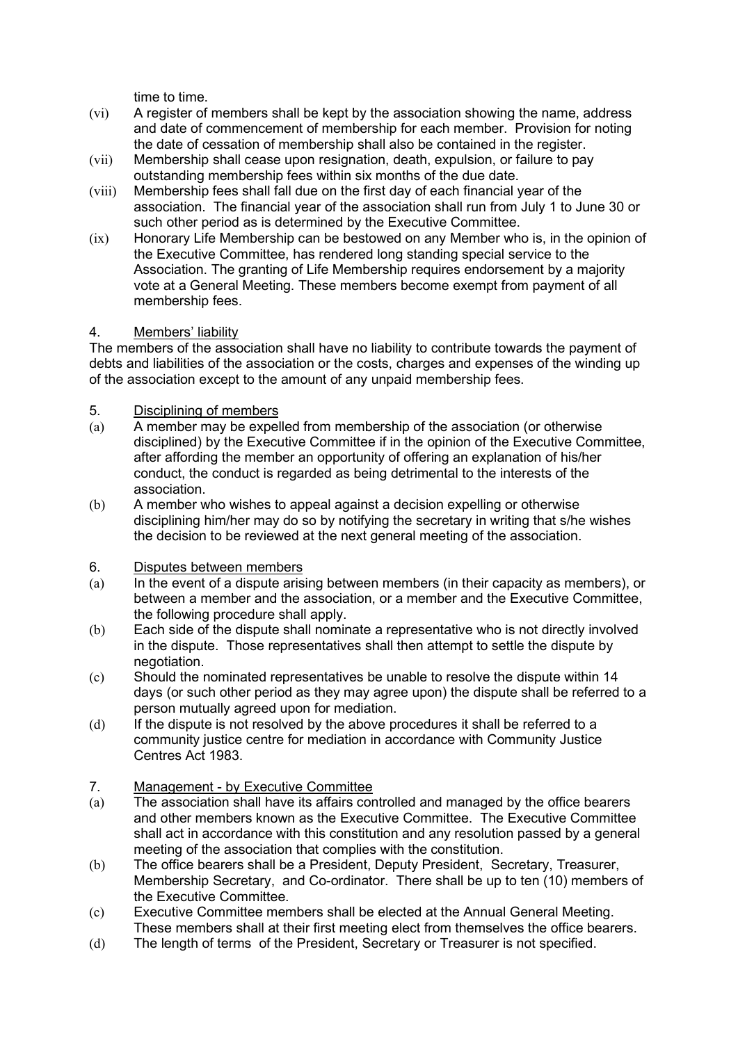time to time.

- (vi) A register of members shall be kept by the association showing the name, address and date of commencement of membership for each member. Provision for noting the date of cessation of membership shall also be contained in the register.
- (vii) Membership shall cease upon resignation, death, expulsion, or failure to pay outstanding membership fees within six months of the due date.
- (viii) Membership fees shall fall due on the first day of each financial year of the association. The financial year of the association shall run from July 1 to June 30 or such other period as is determined by the Executive Committee.
- (ix) Honorary Life Membership can be bestowed on any Member who is, in the opinion of the Executive Committee, has rendered long standing special service to the Association. The granting of Life Membership requires endorsement by a majority vote at a General Meeting. These members become exempt from payment of all membership fees.

# 4. Members' liability

The members of the association shall have no liability to contribute towards the payment of debts and liabilities of the association or the costs, charges and expenses of the winding up of the association except to the amount of any unpaid membership fees.

### 5. Disciplining of members

- (a) A member may be expelled from membership of the association (or otherwise disciplined) by the Executive Committee if in the opinion of the Executive Committee, after affording the member an opportunity of offering an explanation of his/her conduct, the conduct is regarded as being detrimental to the interests of the association.
- (b) A member who wishes to appeal against a decision expelling or otherwise disciplining him/her may do so by notifying the secretary in writing that s/he wishes the decision to be reviewed at the next general meeting of the association.

# 6. Disputes between members

- $(a)$  In the event of a dispute arising between members (in their capacity as members), or between a member and the association, or a member and the Executive Committee, the following procedure shall apply.
- (b) Each side of the dispute shall nominate a representative who is not directly involved in the dispute. Those representatives shall then attempt to settle the dispute by negotiation.
- (c) Should the nominated representatives be unable to resolve the dispute within 14 days (or such other period as they may agree upon) the dispute shall be referred to a person mutually agreed upon for mediation.
- (d) If the dispute is not resolved by the above procedures it shall be referred to a community justice centre for mediation in accordance with Community Justice Centres Act 1983.

# 7. Management - by Executive Committee

- (a) The association shall have its affairs controlled and managed by the office bearers and other members known as the Executive Committee. The Executive Committee shall act in accordance with this constitution and any resolution passed by a general meeting of the association that complies with the constitution.
- (b) The office bearers shall be a President, Deputy President, Secretary, Treasurer, Membership Secretary, and Co-ordinator. There shall be up to ten (10) members of the Executive Committee.
- (c) Executive Committee members shall be elected at the Annual General Meeting. These members shall at their first meeting elect from themselves the office bearers.
- (d) The length of terms of the President, Secretary or Treasurer is not specified.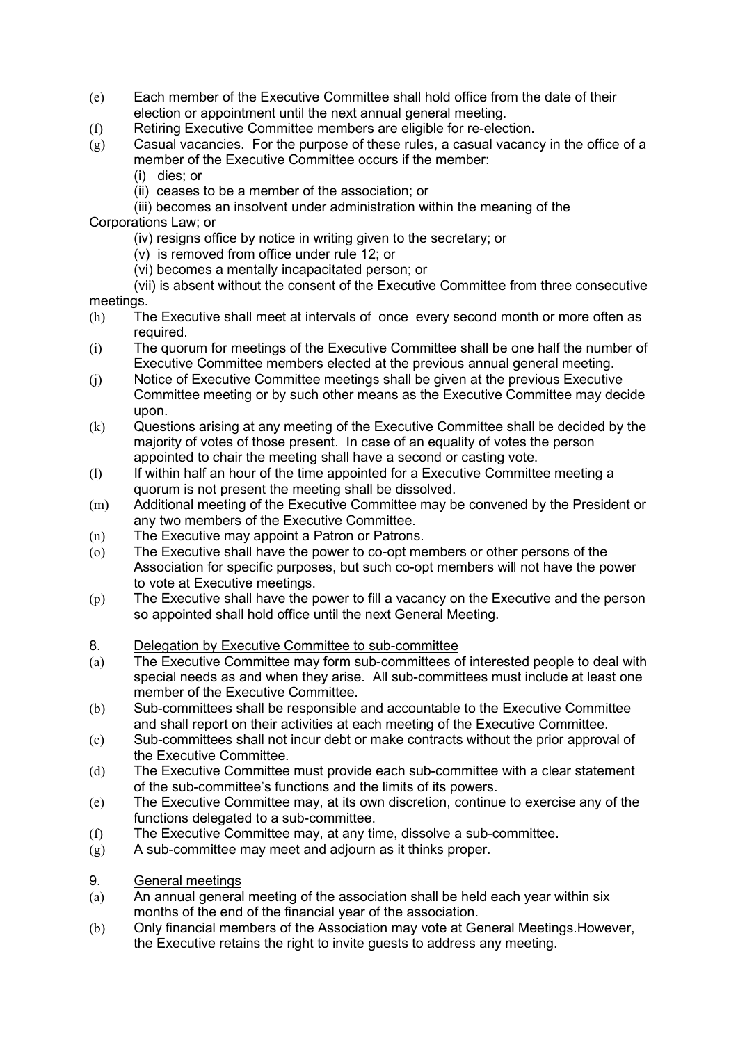- (e) Each member of the Executive Committee shall hold office from the date of their election or appointment until the next annual general meeting.
- (f) Retiring Executive Committee members are eligible for re-election.
- $\overline{g}(g)$  Casual vacancies. For the purpose of these rules, a casual vacancy in the office of a member of the Executive Committee occurs if the member:
	- (i) dies; or
	- (ii) ceases to be a member of the association; or

#### (iii) becomes an insolvent under administration within the meaning of the Corporations Law; or

- (iv) resigns office by notice in writing given to the secretary; or
- (v) is removed from office under rule 12; or
- (vi) becomes a mentally incapacitated person; or

 (vii) is absent without the consent of the Executive Committee from three consecutive meetings.

- (h) The Executive shall meet at intervals of once every second month or more often as required.
- (i) The quorum for meetings of the Executive Committee shall be one half the number of Executive Committee members elected at the previous annual general meeting.
- (j) Notice of Executive Committee meetings shall be given at the previous Executive Committee meeting or by such other means as the Executive Committee may decide upon.
- (k) Questions arising at any meeting of the Executive Committee shall be decided by the majority of votes of those present. In case of an equality of votes the person appointed to chair the meeting shall have a second or casting vote.
- (l) If within half an hour of the time appointed for a Executive Committee meeting a quorum is not present the meeting shall be dissolved.
- (m) Additional meeting of the Executive Committee may be convened by the President or any two members of the Executive Committee.
- (n) The Executive may appoint a Patron or Patrons.
- (o) The Executive shall have the power to co-opt members or other persons of the Association for specific purposes, but such co-opt members will not have the power to vote at Executive meetings.
- (p) The Executive shall have the power to fill a vacancy on the Executive and the person so appointed shall hold office until the next General Meeting.

# 8. Delegation by Executive Committee to sub-committee

- (a) The Executive Committee may form sub-committees of interested people to deal with special needs as and when they arise. All sub-committees must include at least one member of the Executive Committee.
- (b) Sub-committees shall be responsible and accountable to the Executive Committee and shall report on their activities at each meeting of the Executive Committee.
- (c) Sub-committees shall not incur debt or make contracts without the prior approval of the Executive Committee.
- (d) The Executive Committee must provide each sub-committee with a clear statement of the sub-committee's functions and the limits of its powers.
- (e) The Executive Committee may, at its own discretion, continue to exercise any of the functions delegated to a sub-committee.
- (f) The Executive Committee may, at any time, dissolve a sub-committee.
- (g) A sub-committee may meet and adjourn as it thinks proper.
- 9. General meetings
- (a) An annual general meeting of the association shall be held each year within six months of the end of the financial year of the association.
- (b) Only financial members of the Association may vote at General Meetings.However, the Executive retains the right to invite guests to address any meeting.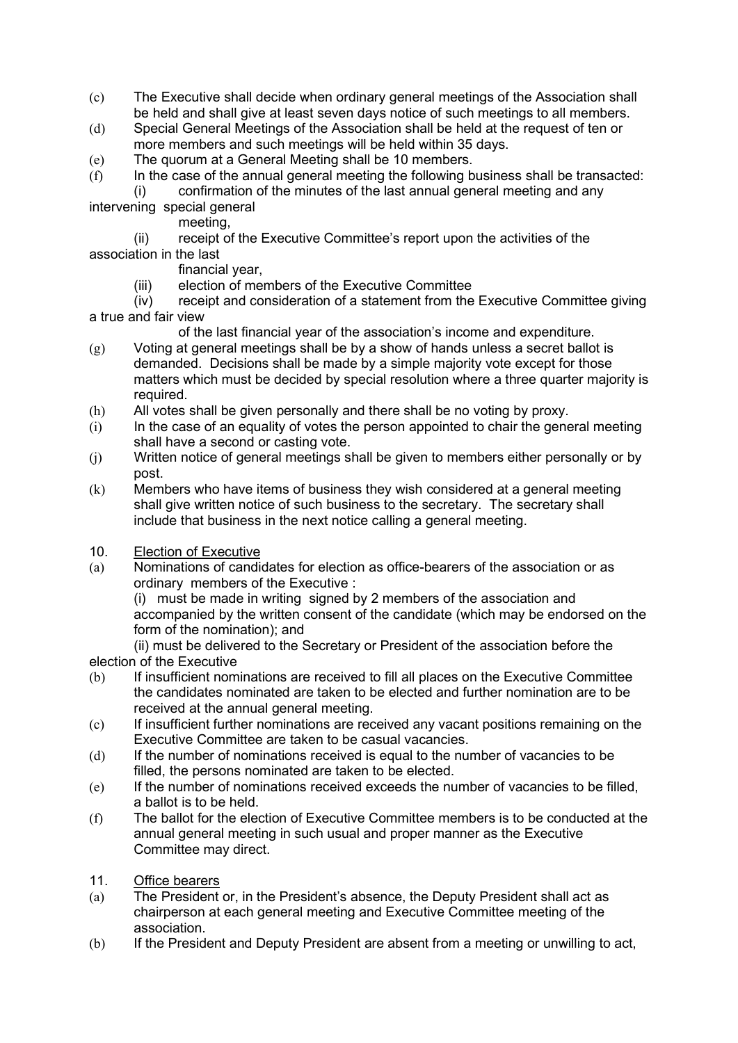- (c) The Executive shall decide when ordinary general meetings of the Association shall be held and shall give at least seven days notice of such meetings to all members.
- (d) Special General Meetings of the Association shall be held at the request of ten or more members and such meetings will be held within 35 days.
- (e) The quorum at a General Meeting shall be 10 members.
- $(f)$  In the case of the annual general meeting the following business shall be transacted: (i) confirmation of the minutes of the last annual general meeting and any
- intervening special general
	- meeting,
- (ii) receipt of the Executive Committee's report upon the activities of the association in the last
	- financial year,
	- (iii) election of members of the Executive Committee
- (iv) receipt and consideration of a statement from the Executive Committee giving a true and fair view
	- of the last financial year of the association's income and expenditure.
- $(g)$  Voting at general meetings shall be by a show of hands unless a secret ballot is demanded. Decisions shall be made by a simple majority vote except for those matters which must be decided by special resolution where a three quarter majority is required.
- (h) All votes shall be given personally and there shall be no voting by proxy.
- (i) In the case of an equality of votes the person appointed to chair the general meeting shall have a second or casting vote.
- (j) Written notice of general meetings shall be given to members either personally or by post.
- (k) Members who have items of business they wish considered at a general meeting shall give written notice of such business to the secretary. The secretary shall include that business in the next notice calling a general meeting.
- 10. Election of Executive
- (a) Nominations of candidates for election as office-bearers of the association or as ordinary members of the Executive :

(i) must be made in writing signed by 2 members of the association and accompanied by the written consent of the candidate (which may be endorsed on the form of the nomination); and

 (ii) must be delivered to the Secretary or President of the association before the election of the Executive

- (b) If insufficient nominations are received to fill all places on the Executive Committee the candidates nominated are taken to be elected and further nomination are to be received at the annual general meeting.
- (c) If insufficient further nominations are received any vacant positions remaining on the Executive Committee are taken to be casual vacancies.
- (d) If the number of nominations received is equal to the number of vacancies to be filled, the persons nominated are taken to be elected.
- (e) If the number of nominations received exceeds the number of vacancies to be filled, a ballot is to be held.
- (f) The ballot for the election of Executive Committee members is to be conducted at the annual general meeting in such usual and proper manner as the Executive Committee may direct.
- 11. Office bearers
- (a) The President or, in the President's absence, the Deputy President shall act as chairperson at each general meeting and Executive Committee meeting of the association.
- (b) If the President and Deputy President are absent from a meeting or unwilling to act,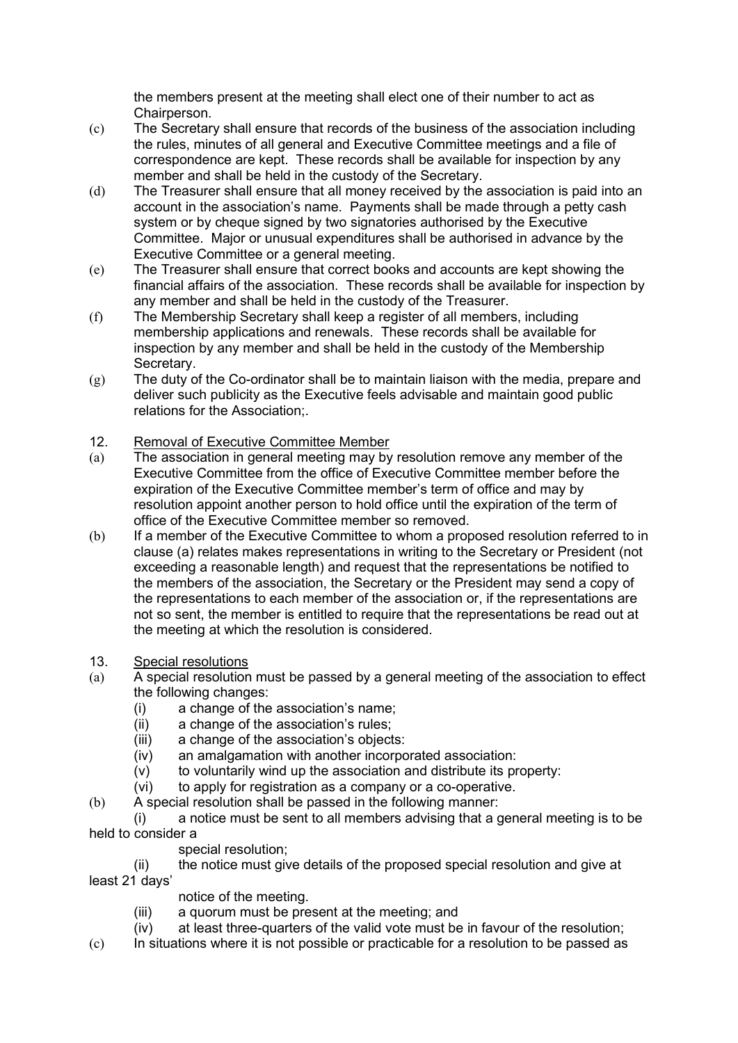the members present at the meeting shall elect one of their number to act as Chairperson.

- (c) The Secretary shall ensure that records of the business of the association including the rules, minutes of all general and Executive Committee meetings and a file of correspondence are kept. These records shall be available for inspection by any member and shall be held in the custody of the Secretary.
- (d) The Treasurer shall ensure that all money received by the association is paid into an account in the association's name. Payments shall be made through a petty cash system or by cheque signed by two signatories authorised by the Executive Committee. Major or unusual expenditures shall be authorised in advance by the Executive Committee or a general meeting.
- (e) The Treasurer shall ensure that correct books and accounts are kept showing the financial affairs of the association. These records shall be available for inspection by any member and shall be held in the custody of the Treasurer.
- (f) The Membership Secretary shall keep a register of all members, including membership applications and renewals. These records shall be available for inspection by any member and shall be held in the custody of the Membership Secretary.
- $(g)$  The duty of the Co-ordinator shall be to maintain liaison with the media, prepare and deliver such publicity as the Executive feels advisable and maintain good public relations for the Association;.

# 12. Removal of Executive Committee Member

- (a) The association in general meeting may by resolution remove any member of the Executive Committee from the office of Executive Committee member before the expiration of the Executive Committee member's term of office and may by resolution appoint another person to hold office until the expiration of the term of office of the Executive Committee member so removed.
- (b) If a member of the Executive Committee to whom a proposed resolution referred to in clause (a) relates makes representations in writing to the Secretary or President (not exceeding a reasonable length) and request that the representations be notified to the members of the association, the Secretary or the President may send a copy of the representations to each member of the association or, if the representations are not so sent, the member is entitled to require that the representations be read out at the meeting at which the resolution is considered.

# 13. Special resolutions

- (a) A special resolution must be passed by a general meeting of the association to effect the following changes:
	- (i) a change of the association's name;
	- (ii) a change of the association's rules;
	- (iii) a change of the association's objects:
	- (iv) an amalgamation with another incorporated association:
	- $(v)$  to voluntarily wind up the association and distribute its property:
	- (vi) to apply for registration as a company or a co-operative.
- (b) A special resolution shall be passed in the following manner:
- (i) a notice must be sent to all members advising that a general meeting is to be held to consider a
	- special resolution;
- (ii) the notice must give details of the proposed special resolution and give at least 21 days'
	- notice of the meeting.
	- (iii) a quorum must be present at the meeting; and
	- (iv) at least three-quarters of the valid vote must be in favour of the resolution;
- $(c)$  In situations where it is not possible or practicable for a resolution to be passed as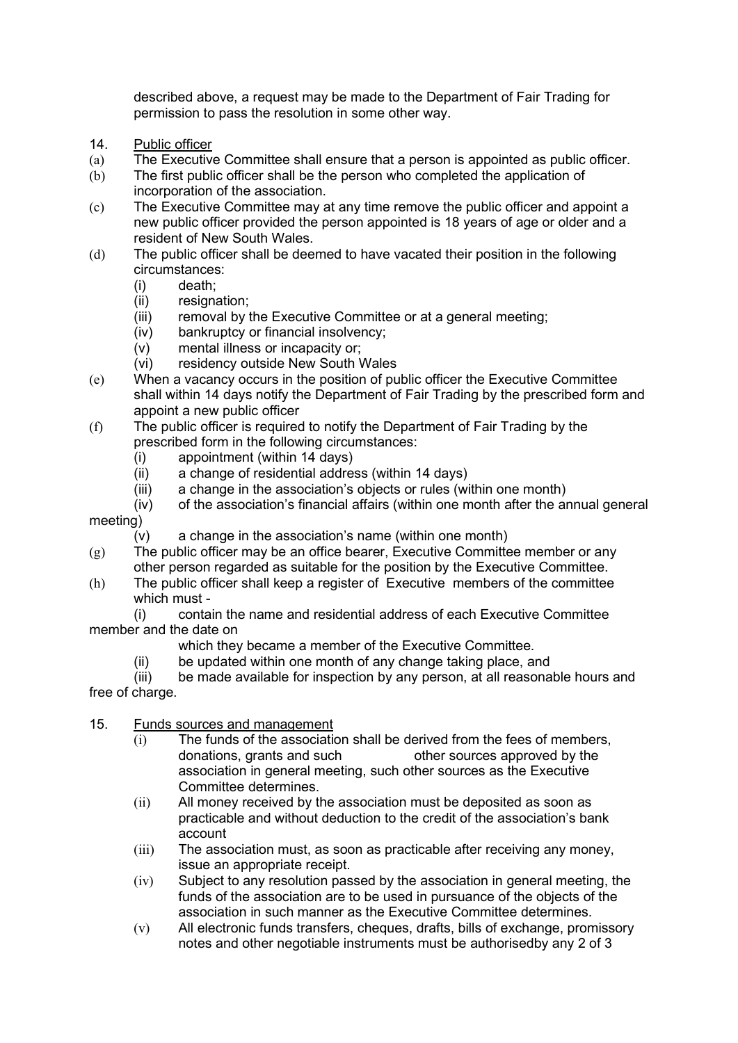described above, a request may be made to the Department of Fair Trading for permission to pass the resolution in some other way.

- 14. Public officer
- (a) The Executive Committee shall ensure that a person is appointed as public officer.
- (b) The first public officer shall be the person who completed the application of incorporation of the association.
- (c) The Executive Committee may at any time remove the public officer and appoint a new public officer provided the person appointed is 18 years of age or older and a resident of New South Wales.
- (d) The public officer shall be deemed to have vacated their position in the following circumstances:
	- (i) death;
	- (ii) resignation;
	- (iii) removal by the Executive Committee or at a general meeting;
	- (iv) bankruptcy or financial insolvency;
	- (v) mental illness or incapacity or;
	- (vi) residency outside New South Wales
- (e) When a vacancy occurs in the position of public officer the Executive Committee shall within 14 days notify the Department of Fair Trading by the prescribed form and appoint a new public officer
- (f) The public officer is required to notify the Department of Fair Trading by the prescribed form in the following circumstances:
	- (i) appointment (within 14 days)
	- (ii) a change of residential address (within 14 days)
	- (iii) a change in the association's objects or rules (within one month)
- (iv) of the association's financial affairs (within one month after the annual general meeting)
	- $(v)$  a change in the association's name (within one month)
- $(g)$  The public officer may be an office bearer, Executive Committee member or any other person regarded as suitable for the position by the Executive Committee.
- (h) The public officer shall keep a register of Executive members of the committee which must -

 (i) contain the name and residential address of each Executive Committee member and the date on

- which they became a member of the Executive Committee.
- (ii) be updated within one month of any change taking place, and

 (iii) be made available for inspection by any person, at all reasonable hours and free of charge.

#### 15. Funds sources and management

- (i) The funds of the association shall be derived from the fees of members, donations, grants and such other sources approved by the association in general meeting, such other sources as the Executive Committee determines.
- (ii) All money received by the association must be deposited as soon as practicable and without deduction to the credit of the association's bank account
- (iii) The association must, as soon as practicable after receiving any money, issue an appropriate receipt.
- (iv) Subject to any resolution passed by the association in general meeting, the funds of the association are to be used in pursuance of the objects of the association in such manner as the Executive Committee determines.
- (v) All electronic funds transfers, cheques, drafts, bills of exchange, promissory notes and other negotiable instruments must be authorisedby any 2 of 3